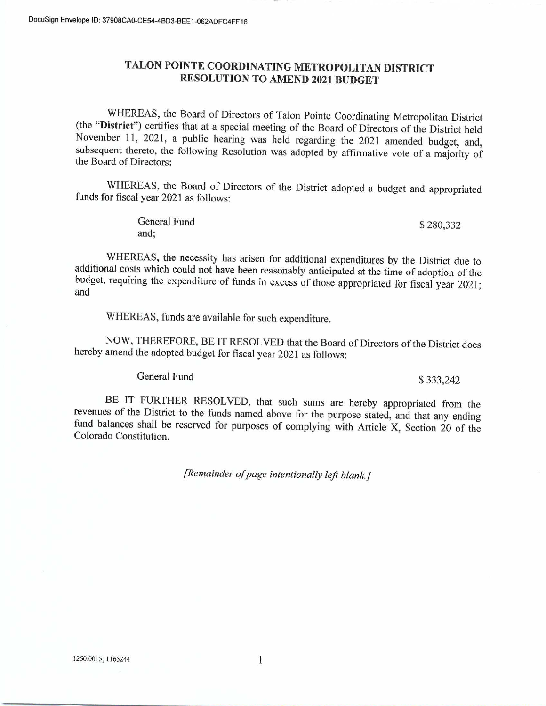# TALON POINTE COORDINATING METROPOLITAN DISTRICT **RESOLUTION TO AMEND 2021 BUDGET**

WHEREAS, the Board of Directors of Talon Pointe Coordinating Metropolitan District (the "District") certifies that at a special meeting of the Board of Directors of the District held November 11, 2021, a public hearing was held regarding the 2021 amended budget, and, subsequent thereto, the following Resolution was adopted by affirmative vote of a majority of the Board of Directors:

WHEREAS, the Board of Directors of the District adopted a budget and appropriated funds for fiscal year 2021 as follows:

| General Fund | \$280,332 |
|--------------|-----------|
| and;         |           |

WHEREAS, the necessity has arisen for additional expenditures by the District due to additional costs which could not have been reasonably anticipated at the time of adoption of the budget, requiring the expenditure of funds in excess of those appropriated for fiscal year 2021; and

WHEREAS, funds are available for such expenditure.

NOW, THEREFORE, BE IT RESOLVED that the Board of Directors of the District does hereby amend the adopted budget for fiscal year 2021 as follows:

General Fund

## \$333,242

BE IT FURTHER RESOLVED, that such sums are hereby appropriated from the revenues of the District to the funds named above for the purpose stated, and that any ending fund balances shall be reserved for purposes of complying with Article X, Section 20 of the Colorado Constitution.

[Remainder of page intentionally left blank.]

 $\mathbf{1}$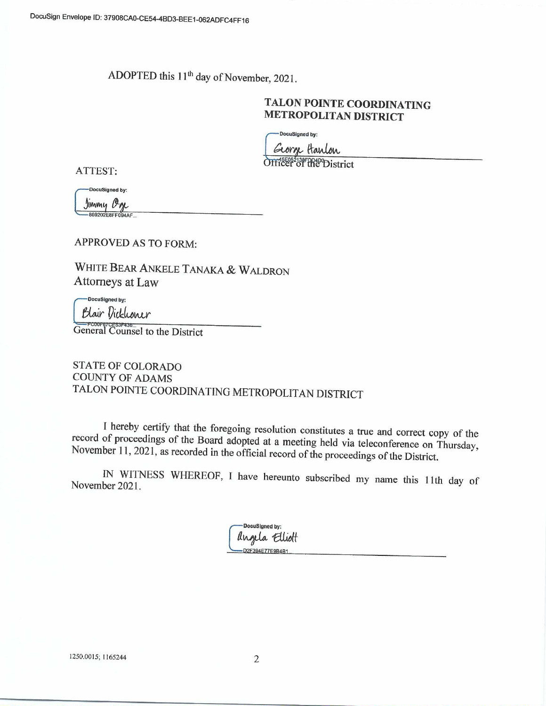ADOPTED this 11<sup>th</sup> day of November, 2021.

# TALON POINTE COORDINATING **METROPOLITAN DISTRICT**

DocuSigned by:

George Harlon

Officer of the District

ATTEST:

DocuSigned by:

Jimmy Oge

**APPROVED AS TO FORM:** 

WHITE BEAR ANKELE TANAKA & WALDRON Attorneys at Law

DocuSigned by: Blair Dickhoner

General Counsel to the District

**STATE OF COLORADO COUNTY OF ADAMS** TALON POINTE COORDINATING METROPOLITAN DISTRICT

I hereby certify that the foregoing resolution constitutes a true and correct copy of the record of proceedings of the Board adopted at a meeting held via teleconference on Thursday, November 11, 2021, as recorded in the official record of the proceedings of the District.

IN WITNESS WHEREOF, I have hereunto subscribed my name this 11th day of November 2021.

> DocuSigned by: angela Elliott D2F394E77E9B4B1

1250.0015; 1165244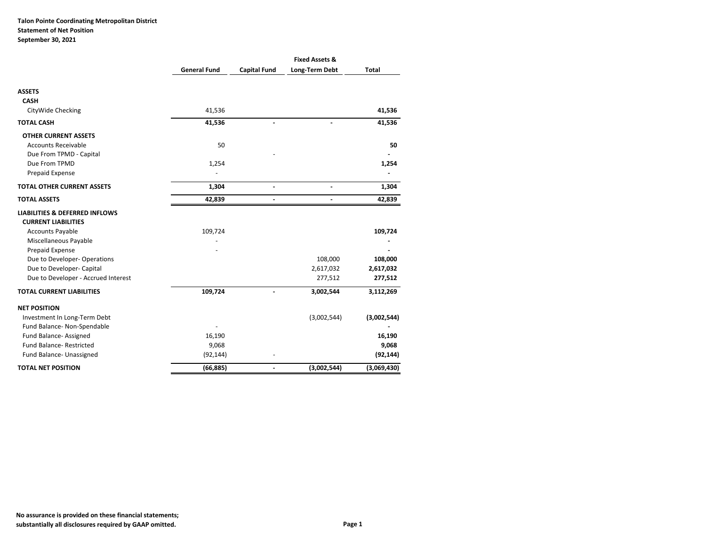## **Talon Pointe Coordinating Metropolitan District Statement of Net Position September 30, 2021**

|                                           |                     |                     | <b>Fixed Assets &amp;</b> |              |
|-------------------------------------------|---------------------|---------------------|---------------------------|--------------|
|                                           | <b>General Fund</b> | <b>Capital Fund</b> | Long-Term Debt            | <b>Total</b> |
| <b>ASSETS</b>                             |                     |                     |                           |              |
| <b>CASH</b>                               |                     |                     |                           |              |
| CityWide Checking                         | 41,536              |                     |                           | 41,536       |
| <b>TOTAL CASH</b>                         | 41,536              |                     |                           | 41,536       |
| <b>OTHER CURRENT ASSETS</b>               |                     |                     |                           |              |
| <b>Accounts Receivable</b>                | 50                  |                     |                           | 50           |
| Due From TPMD - Capital                   |                     |                     |                           |              |
| Due From TPMD                             | 1,254               |                     |                           | 1,254        |
| Prepaid Expense                           |                     |                     |                           |              |
| <b>TOTAL OTHER CURRENT ASSETS</b>         | 1,304               | $\overline{a}$      | $\blacksquare$            | 1,304        |
| <b>TOTAL ASSETS</b>                       | 42,839              |                     |                           | 42,839       |
| <b>LIABILITIES &amp; DEFERRED INFLOWS</b> |                     |                     |                           |              |
| <b>CURRENT LIABILITIES</b>                |                     |                     |                           |              |
| <b>Accounts Payable</b>                   | 109,724             |                     |                           | 109,724      |
| Miscellaneous Payable                     |                     |                     |                           |              |
| Prepaid Expense                           |                     |                     |                           |              |
| Due to Developer-Operations               |                     |                     | 108,000                   | 108,000      |
| Due to Developer- Capital                 |                     |                     | 2,617,032                 | 2,617,032    |
| Due to Developer - Accrued Interest       |                     |                     | 277,512                   | 277,512      |
| <b>TOTAL CURRENT LIABILITIES</b>          | 109,724             |                     | 3,002,544                 | 3,112,269    |
| <b>NET POSITION</b>                       |                     |                     |                           |              |
| Investment In Long-Term Debt              |                     |                     | (3,002,544)               | (3,002,544)  |
| Fund Balance- Non-Spendable               |                     |                     |                           |              |
| Fund Balance-Assigned                     | 16,190              |                     |                           | 16,190       |
| <b>Fund Balance- Restricted</b>           | 9,068               |                     |                           | 9,068        |
| Fund Balance- Unassigned                  | (92, 144)           |                     |                           | (92, 144)    |
| <b>TOTAL NET POSITION</b>                 | (66, 885)           |                     | (3,002,544)               | (3,069,430)  |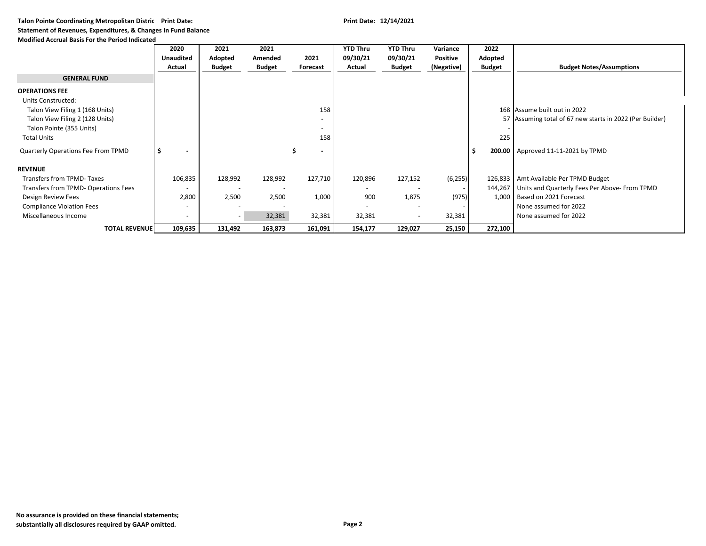**Talon Pointe Coordinating Metropolitan Distric Print Date: Print Date: 12/14/2021**

### **Statement of Revenues, Expenditures, & Changes In Fund Balance**

#### **Modified Accrual Basis For the Period Indicated**

|                                      | 2020                     | 2021                     | 2021          |                          | <b>YTD Thru</b>          | <b>YTD Thru</b>          | Variance        | 2022          |                                                          |
|--------------------------------------|--------------------------|--------------------------|---------------|--------------------------|--------------------------|--------------------------|-----------------|---------------|----------------------------------------------------------|
|                                      | <b>Unaudited</b>         | Adopted                  | Amended       | 2021                     | 09/30/21                 | 09/30/21                 | <b>Positive</b> | Adopted       |                                                          |
|                                      | Actual                   | <b>Budget</b>            | <b>Budget</b> | <b>Forecast</b>          | Actual                   | <b>Budget</b>            | (Negative)      | <b>Budget</b> | <b>Budget Notes/Assumptions</b>                          |
| <b>GENERAL FUND</b>                  |                          |                          |               |                          |                          |                          |                 |               |                                                          |
| <b>OPERATIONS FEE</b>                |                          |                          |               |                          |                          |                          |                 |               |                                                          |
| Units Constructed:                   |                          |                          |               |                          |                          |                          |                 |               |                                                          |
| Talon View Filing 1 (168 Units)      |                          |                          |               | 158                      |                          |                          |                 |               | 168 Assume built out in 2022                             |
| Talon View Filing 2 (128 Units)      |                          |                          |               | $\overline{\phantom{a}}$ |                          |                          |                 |               | 57 Assuming total of 67 new starts in 2022 (Per Builder) |
| Talon Pointe (355 Units)             |                          |                          |               |                          |                          |                          |                 |               |                                                          |
| <b>Total Units</b>                   |                          |                          |               | 158                      |                          |                          |                 | 225           |                                                          |
| Quarterly Operations Fee From TPMD   | -\$                      |                          |               | $\overline{\phantom{a}}$ |                          |                          |                 |               | 200.00   Approved 11-11-2021 by TPMD                     |
| <b>REVENUE</b>                       |                          |                          |               |                          |                          |                          |                 |               |                                                          |
| Transfers from TPMD-Taxes            | 106,835                  | 128,992                  | 128,992       | 127,710                  | 120,896                  | 127,152                  | (6, 255)        |               | 126,833   Amt Available Per TPMD Budget                  |
| Transfers from TPMD- Operations Fees | $\overline{\phantom{a}}$ | $\overline{\phantom{a}}$ |               |                          | $\overline{\phantom{a}}$ | $\overline{\phantom{a}}$ |                 |               | 144,267   Units and Quarterly Fees Per Above- From TPMD  |
| Design Review Fees                   | 2,800                    | 2,500                    | 2,500         | 1,000                    | 900                      | 1,875                    | (975)           | 1,000         | Based on 2021 Forecast                                   |
| <b>Compliance Violation Fees</b>     |                          |                          |               |                          |                          | $\overline{\phantom{a}}$ |                 |               | None assumed for 2022                                    |
| Miscellaneous Income                 |                          | $\overline{\phantom{a}}$ | 32,381        | 32,381                   | 32,381                   | $\overline{\phantom{a}}$ | 32,381          |               | None assumed for 2022                                    |
| <b>TOTAL REVENUE</b>                 | 109,635                  | 131,492                  | 163,873       | 161,091                  | 154,177                  | 129,027                  | 25,150          | 272,100       |                                                          |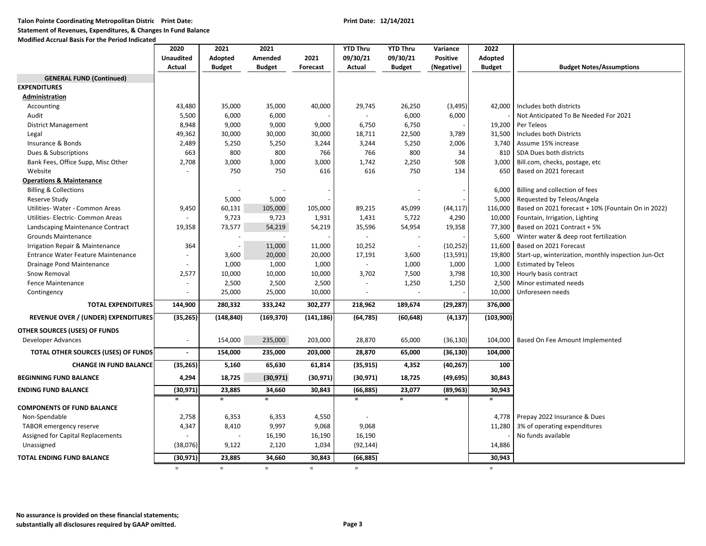**Talon Pointe Coordinating Metropolitan Distric Print Date: Print Date: 12/14/2021**

**Statement of Revenues, Expenditures, & Changes In Fund Balance**

#### **Modified Accrual Basis For the Period Indicated**

|                                            | 2020                     | 2021          | 2021          |            | <b>YTD Thru</b> | <b>YTD Thru</b>          | Variance        | 2022          |                                                     |
|--------------------------------------------|--------------------------|---------------|---------------|------------|-----------------|--------------------------|-----------------|---------------|-----------------------------------------------------|
|                                            | <b>Unaudited</b>         | Adopted       | Amended       | 2021       | 09/30/21        | 09/30/21                 | <b>Positive</b> | Adopted       |                                                     |
|                                            | <b>Actual</b>            | <b>Budget</b> | <b>Budget</b> | Forecast   | Actual          | <b>Budget</b>            | (Negative)      | <b>Budget</b> | <b>Budget Notes/Assumptions</b>                     |
| <b>GENERAL FUND (Continued)</b>            |                          |               |               |            |                 |                          |                 |               |                                                     |
| <b>EXPENDITURES</b>                        |                          |               |               |            |                 |                          |                 |               |                                                     |
| Administration                             |                          |               |               |            |                 |                          |                 |               |                                                     |
| Accounting                                 | 43,480                   | 35,000        | 35,000        | 40,000     | 29,745          | 26,250                   | (3, 495)        | 42,000        | Includes both districts                             |
| Audit                                      | 5,500                    | 6,000         | 6,000         |            | $\omega$        | 6,000                    | 6,000           |               | Not Anticipated To Be Needed For 2021               |
| <b>District Management</b>                 | 8,948                    | 9,000         | 9,000         | 9,000      | 6,750           | 6,750                    |                 | 19,200        | Per Teleos                                          |
| Legal                                      | 49,362                   | 30,000        | 30,000        | 30,000     | 18,711          | 22,500                   | 3,789           | 31,500        | Includes both Districts                             |
| Insurance & Bonds                          | 2,489                    | 5,250         | 5,250         | 3,244      | 3,244           | 5,250                    | 2,006           | 3,740         | Assume 15% increase                                 |
| Dues & Subscriptions                       | 663                      | 800           | 800           | 766        | 766             | 800                      | 34              | 810           | SDA Dues both districts                             |
| Bank Fees, Office Supp, Misc Other         | 2,708                    | 3,000         | 3,000         | 3,000      | 1,742           | 2,250                    | 508             | 3,000         | Bill.com, checks, postage, etc                      |
| Website                                    |                          | 750           | 750           | 616        | 616             | 750                      | 134             | 650           | Based on 2021 forecast                              |
| <b>Operations &amp; Maintenance</b>        |                          |               |               |            |                 |                          |                 |               |                                                     |
| <b>Billing &amp; Collections</b>           |                          |               |               |            |                 |                          |                 | 6,000         | Billing and collection of fees                      |
| <b>Reserve Study</b>                       |                          | 5,000         | 5,000         |            |                 |                          |                 | 5,000         | Requested by Teleos/Angela                          |
| Utilities-Water - Common Areas             | 9,450                    | 60,131        | 105,000       | 105,000    | 89,215          | 45,099                   | (44, 117)       | 116,000       | Based on 2021 forecast + 10% (Fountain On in 2022)  |
| Utilities- Electric- Common Areas          |                          | 9,723         | 9,723         | 1,931      | 1,431           | 5,722                    | 4,290           | 10,000        | Fountain, Irrigation, Lighting                      |
| Landscaping Maintenance Contract           | 19,358                   | 73,577        | 54,219        | 54,219     | 35,596          | 54,954                   | 19,358          | 77,300        | Based on 2021 Contract + 5%                         |
| <b>Grounds Maintenance</b>                 |                          |               |               |            | $\omega$        | $\sim$                   |                 |               | 5,600 Winter water & deep root fertilization        |
| Irrigation Repair & Maintenance            | 364                      |               | 11,000        | 11,000     | 10,252          | $\overline{\phantom{a}}$ | (10, 252)       |               | 11,600   Based on 2021 Forecast                     |
| <b>Entrance Water Feature Maintenance</b>  | $\overline{\phantom{a}}$ | 3,600         | 20,000        | 20,000     | 17,191          | 3,600                    | (13, 591)       | 19,800        | Start-up, winterization, monthly inspection Jun-Oct |
| Drainage Pond Maintenance                  | $\sim$                   | 1,000         | 1,000         | 1,000      | $\sim$          | 1,000                    | 1,000           | 1,000         | <b>Estimated by Teleos</b>                          |
| Snow Removal                               | 2,577                    | 10,000        | 10,000        | 10,000     | 3,702           | 7,500                    | 3,798           | 10,300        | Hourly basis contract                               |
| <b>Fence Maintenance</b>                   | $\sim$                   | 2,500         | 2,500         | 2,500      | ÷,              | 1,250                    | 1,250           | 2,500         | Minor estimated needs                               |
| Contingency                                | $\sim$                   | 25,000        | 25,000        | 10,000     | $\blacksquare$  | $\blacksquare$           |                 | 10,000        | Unforeseen needs                                    |
| <b>TOTAL EXPENDITURES</b>                  | 144,900                  | 280,332       | 333,242       | 302,277    | 218,962         | 189,674                  | (29, 287)       | 376,000       |                                                     |
| <b>REVENUE OVER / (UNDER) EXPENDITURES</b> | (35, 265)                | (148, 840)    | (169, 370)    | (141, 186) | (64, 785)       | (60, 648)                | (4, 137)        | (103,900)     |                                                     |
| OTHER SOURCES (USES) OF FUNDS              |                          |               |               |            |                 |                          |                 |               |                                                     |
| Developer Advances                         | $\sim$                   | 154,000       | 235,000       | 203,000    | 28,870          | 65,000                   | (36, 130)       | 104,000       | Based On Fee Amount Implemented                     |
| TOTAL OTHER SOURCES (USES) OF FUNDS        | $\sim$                   | 154,000       | 235,000       | 203,000    | 28,870          | 65,000                   | (36, 130)       | 104,000       |                                                     |
| <b>CHANGE IN FUND BALANCE</b>              | (35, 265)                | 5,160         | 65,630        | 61,814     | (35, 915)       | 4,352                    | (40, 267)       | 100           |                                                     |
| <b>BEGINNING FUND BALANCE</b>              | 4,294                    | 18,725        | (30, 971)     | (30, 971)  | (30, 971)       | 18,725                   | (49, 695)       | 30,843        |                                                     |
| <b>ENDING FUND BALANCE</b>                 | (30, 971)                | 23,885        | 34,660        | 30,843     | (66, 885)       | 23,077                   | (89, 963)       | 30,943        |                                                     |
|                                            | $=$                      | $\equiv$      | $\equiv$      |            | $=$             | $=$                      | $\equiv$        | $=$           |                                                     |
| <b>COMPONENTS OF FUND BALANCE</b>          |                          |               |               |            |                 |                          |                 |               |                                                     |
| Non-Spendable                              | 2,758                    | 6,353         | 6,353         | 4,550      |                 |                          |                 | 4,778         | Prepay 2022 Insurance & Dues                        |
| TABOR emergency reserve                    | 4,347                    | 8,410         | 9,997         | 9,068      | 9,068           |                          |                 | 11,280        | 3% of operating expenditures                        |
| Assigned for Capital Replacements          | $\blacksquare$           | $\sim$        | 16,190        | 16,190     | 16,190          |                          |                 |               | No funds available                                  |
| Unassigned                                 | (38,076)                 | 9,122         | 2,120         | 1,034      | (92, 144)       |                          |                 | 14,886        |                                                     |
| <b>TOTAL ENDING FUND BALANCE</b>           | (30, 971)                | 23,885        | 34,660        | 30,843     | (66, 885)       |                          |                 | 30,943        |                                                     |
|                                            | $=$                      | $\equiv$      | $\equiv$      | $=$        | $\equiv$        |                          |                 | $\equiv$      |                                                     |